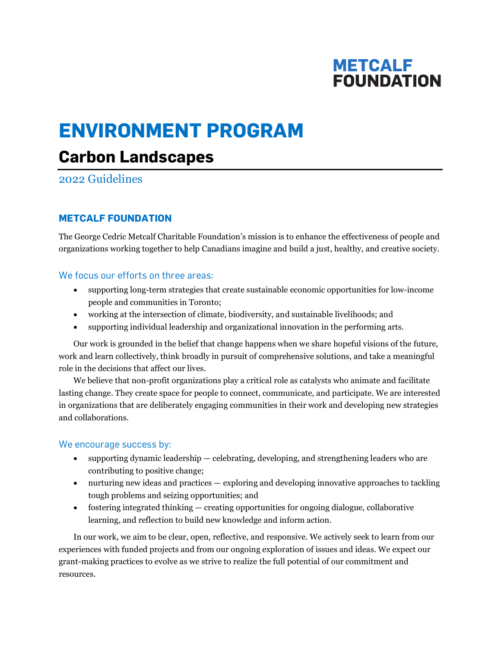## **METCALF FOUNDATION**

# **ENVIRONMENT PROGRAM**

## **Carbon Landscapes**

2022 Guidelines

## **METCALF FOUNDATION**

The George Cedric Metcalf Charitable Foundation's mission is to enhance the effectiveness of people and organizations working together to help Canadians imagine and build a just, healthy, and creative society.

## We focus our efforts on three areas:

- supporting long-term strategies that create sustainable economic opportunities for low-income people and communities in Toronto;
- working at the intersection of climate, biodiversity, and sustainable livelihoods; and
- supporting individual leadership and organizational innovation in the performing arts.

Our work is grounded in the belief that change happens when we share hopeful visions of the future, work and learn collectively, think broadly in pursuit of comprehensive solutions, and take a meaningful role in the decisions that affect our lives.

We believe that non-profit organizations play a critical role as catalysts who animate and facilitate lasting change. They create space for people to connect, communicate, and participate. We are interested in organizations that are deliberately engaging communities in their work and developing new strategies and collaborations.

## We encourage success by:

- supporting dynamic leadership celebrating, developing, and strengthening leaders who are contributing to positive change;
- nurturing new ideas and practices exploring and developing innovative approaches to tackling tough problems and seizing opportunities; and
- fostering integrated thinking creating opportunities for ongoing dialogue, collaborative learning, and reflection to build new knowledge and inform action.

In our work, we aim to be clear, open, reflective, and responsive. We actively seek to learn from our experiences with funded projects and from our ongoing exploration of issues and ideas. We expect our grant-making practices to evolve as we strive to realize the full potential of our commitment and resources.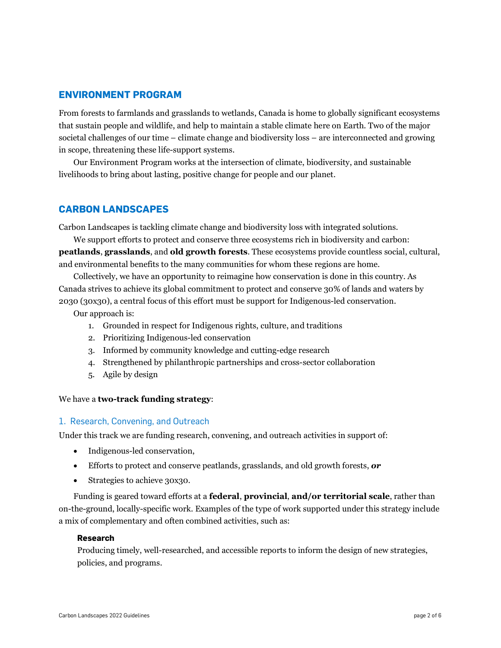## **ENVIRONMENT PROGRAM**

From forests to farmlands and grasslands to wetlands, Canada is home to globally significant ecosystems that sustain people and wildlife, and help to maintain a stable climate here on Earth. Two of the major societal challenges of our time – climate change and biodiversity loss – are interconnected and growing in scope, threatening these life-support systems.

Our Environment Program works at the intersection of climate, biodiversity, and sustainable livelihoods to bring about lasting, positive change for people and our planet.

## **CARBON LANDSCAPES**

Carbon Landscapes is tackling climate change and biodiversity loss with integrated solutions.

We support efforts to protect and conserve three ecosystems rich in biodiversity and carbon: **peatlands**, **grasslands**, and **old growth forests**. These ecosystems provide countless social, cultural, and environmental benefits to the many communities for whom these regions are home.

Collectively, we have an opportunity to reimagine how conservation is done in this country. As Canada strives to achieve its global commitment to protect and conserve 30% of lands and waters by 2030 (30x30), a central focus of this effort must be support for Indigenous-led conservation.

Our approach is:

- 1. Grounded in respect for Indigenous rights, culture, and traditions
- 2. Prioritizing Indigenous-led conservation
- 3. Informed by community knowledge and cutting-edge research
- 4. Strengthened by philanthropic partnerships and cross-sector collaboration
- 5. Agile by design

#### We have a **two-track funding strategy**:

#### 1. Research, Convening, and Outreach

Under this track we are funding research, convening, and outreach activities in support of:

- Indigenous-led conservation,
- Efforts to protect and conserve peatlands, grasslands, and old growth forests, *or*
- Strategies to achieve 30x30.

Funding is geared toward efforts at a **federal**, **provincial**, **and/or territorial scale**, rather than on-the-ground, locally-specific work. Examples of the type of work supported under this strategy include a mix of complementary and often combined activities, such as:

#### **Research**

Producing timely, well-researched, and accessible reports to inform the design of new strategies, policies, and programs.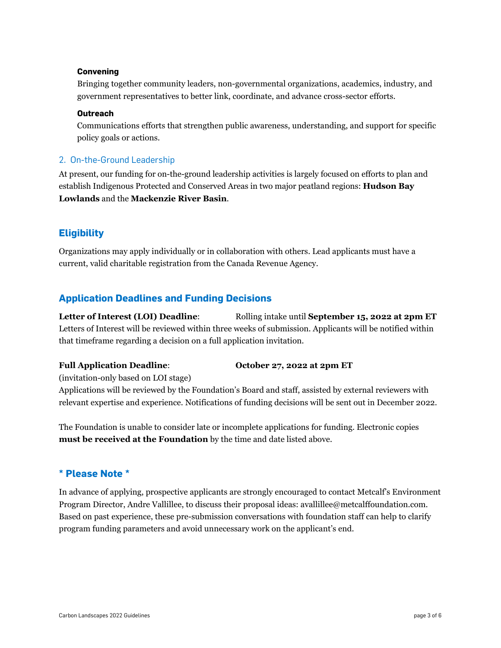#### **Convening**

Bringing together community leaders, non-governmental organizations, academics, industry, and government representatives to better link, coordinate, and advance cross-sector efforts.

#### **Outreach**

Communications efforts that strengthen public awareness, understanding, and support for specific policy goals or actions.

### 2. On-the-Ground Leadership

At present, our funding for on-the-ground leadership activities is largely focused on efforts to plan and establish Indigenous Protected and Conserved Areas in two major peatland regions: **Hudson Bay Lowlands** and the **Mackenzie River Basin**.

## **Eligibility**

Organizations may apply individually or in collaboration with others. Lead applicants must have a current, valid charitable registration from the Canada Revenue Agency.

## **Application Deadlines and Funding Decisions**

**Letter of Interest (LOI) Deadline**: Rolling intake until **September 15, 2022 at 2pm ET** Letters of Interest will be reviewed within three weeks of submission. Applicants will be notified within that timeframe regarding a decision on a full application invitation.

### **Full Application Deadline**: **October 27, 2022 at 2pm ET**

(invitation-only based on LOI stage)

Applications will be reviewed by the Foundation's Board and staff, assisted by external reviewers with relevant expertise and experience. Notifications of funding decisions will be sent out in December 2022.

The Foundation is unable to consider late or incomplete applications for funding. Electronic copies **must be received at the Foundation** by the time and date listed above.

## **\* Please Note \***

In advance of applying, prospective applicants are strongly encouraged to contact Metcalf's Environment Program Director, Andre Vallillee, to discuss their proposal ideas: avallillee@metcalffoundation.com. Based on past experience, these pre-submission conversations with foundation staff can help to clarify program funding parameters and avoid unnecessary work on the applicant's end.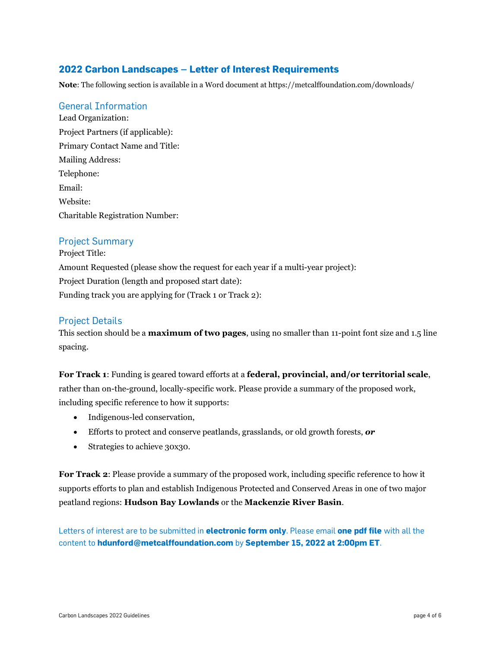## **2022 Carbon Landscapes – Letter of Interest Requirements**

**Note**: The following section is available in a Word document at https://metcalffoundation.com/downloads/

#### General Information

Lead Organization: Project Partners (if applicable): Primary Contact Name and Title: Mailing Address: Telephone: Email: Website: Charitable Registration Number:

### Project Summary

Project Title: Amount Requested (please show the request for each year if a multi-year project): Project Duration (length and proposed start date): Funding track you are applying for (Track 1 or Track 2):

## Project Details

This section should be a **maximum of two pages**, using no smaller than 11-point font size and 1.5 line spacing.

**For Track 1**: Funding is geared toward efforts at a **federal, provincial, and/or territorial scale**, rather than on-the-ground, locally-specific work. Please provide a summary of the proposed work, including specific reference to how it supports:

- Indigenous-led conservation,
- Efforts to protect and conserve peatlands, grasslands, or old growth forests, *or*
- Strategies to achieve 30x30.

**For Track 2**: Please provide a summary of the proposed work, including specific reference to how it supports efforts to plan and establish Indigenous Protected and Conserved Areas in one of two major peatland regions: **Hudson Bay Lowlands** or the **Mackenzie River Basin**.

Letters of interest are to be submitted in **electronic form only**. Please email **one pdf file** with all the content to **hdunford@metcalffoundation.com** by **September 15, 2022 at 2:00pm ET**.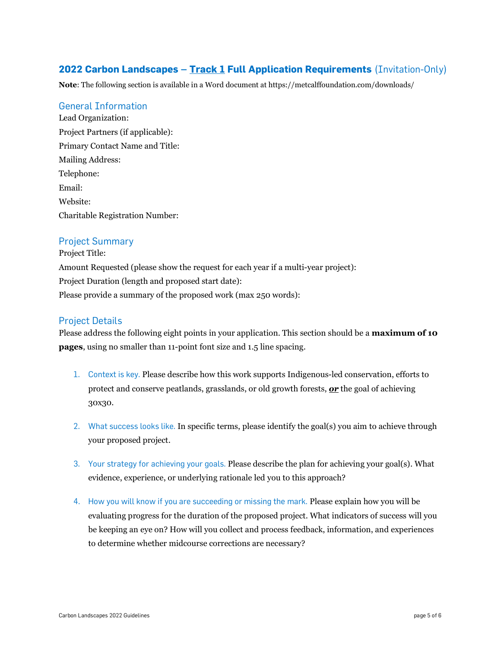## **2022 Carbon Landscapes – Track 1 Full Application Requirements** (Invitation-Only)

**Note**: The following section is available in a Word document at https://metcalffoundation.com/downloads/

#### General Information

Lead Organization: Project Partners (if applicable): Primary Contact Name and Title: Mailing Address: Telephone: Email: Website: Charitable Registration Number:

### Project Summary

Project Title: Amount Requested (please show the request for each year if a multi-year project): Project Duration (length and proposed start date): Please provide a summary of the proposed work (max 250 words):

## Project Details

Please address the following eight points in your application. This section should be a **maximum of 10 pages**, using no smaller than 11-point font size and 1.5 line spacing.

- 1. Context is key. Please describe how this work supports Indigenous-led conservation, efforts to protect and conserve peatlands, grasslands, or old growth forests, *or* the goal of achieving 30x30.
- 2. What success looks like. In specific terms, please identify the goal(s) you aim to achieve through your proposed project.
- 3. Your strategy for achieving your goals. Please describe the plan for achieving your goal(s). What evidence, experience, or underlying rationale led you to this approach?
- 4. How you will know if you are succeeding or missing the mark. Please explain how you will be evaluating progress for the duration of the proposed project. What indicators of success will you be keeping an eye on? How will you collect and process feedback, information, and experiences to determine whether midcourse corrections are necessary?